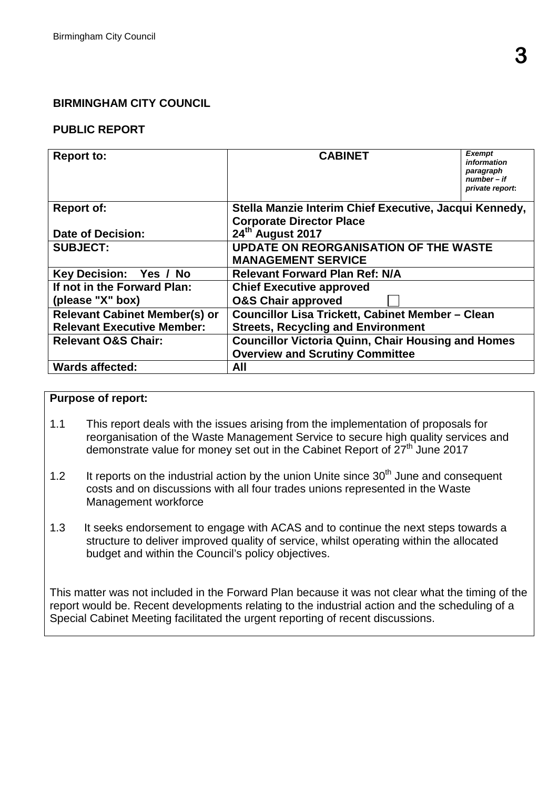## **BIRMINGHAM CITY COUNCIL**

#### **PUBLIC REPORT**

| <b>Report to:</b>                    | <b>CABINET</b>                                            | <b>Exempt</b><br>information<br>paragraph<br>$number - if$<br>private report: |
|--------------------------------------|-----------------------------------------------------------|-------------------------------------------------------------------------------|
| <b>Report of:</b>                    | Stella Manzie Interim Chief Executive, Jacqui Kennedy,    |                                                                               |
|                                      | <b>Corporate Director Place</b>                           |                                                                               |
| <b>Date of Decision:</b>             | 24 <sup>th</sup> August 2017                              |                                                                               |
| <b>SUBJECT:</b>                      | <b>UPDATE ON REORGANISATION OF THE WASTE</b>              |                                                                               |
|                                      | <b>MANAGEMENT SERVICE</b>                                 |                                                                               |
| Key Decision: Yes / No               | <b>Relevant Forward Plan Ref: N/A</b>                     |                                                                               |
| If not in the Forward Plan:          | <b>Chief Executive approved</b>                           |                                                                               |
| (please "X" box)                     | <b>O&amp;S Chair approved</b>                             |                                                                               |
| <b>Relevant Cabinet Member(s) or</b> | <b>Councillor Lisa Trickett, Cabinet Member - Clean</b>   |                                                                               |
| <b>Relevant Executive Member:</b>    | <b>Streets, Recycling and Environment</b>                 |                                                                               |
| <b>Relevant O&amp;S Chair:</b>       | <b>Councillor Victoria Quinn, Chair Housing and Homes</b> |                                                                               |
|                                      | <b>Overview and Scrutiny Committee</b>                    |                                                                               |
| <b>Wards affected:</b>               | All                                                       |                                                                               |

#### **Purpose of report:**

- 1.1 This report deals with the issues arising from the implementation of proposals for reorganisation of the Waste Management Service to secure high quality services and demonstrate value for money set out in the Cabinet Report of  $27<sup>th</sup>$  June 2017
- 1.2 It reports on the industrial action by the union Unite since  $30<sup>th</sup>$  June and consequent costs and on discussions with all four trades unions represented in the Waste Management workforce
- 1.3 It seeks endorsement to engage with ACAS and to continue the next steps towards a structure to deliver improved quality of service, whilst operating within the allocated budget and within the Council's policy objectives.

This matter was not included in the Forward Plan because it was not clear what the timing of the report would be. Recent developments relating to the industrial action and the scheduling of a Special Cabinet Meeting facilitated the urgent reporting of recent discussions.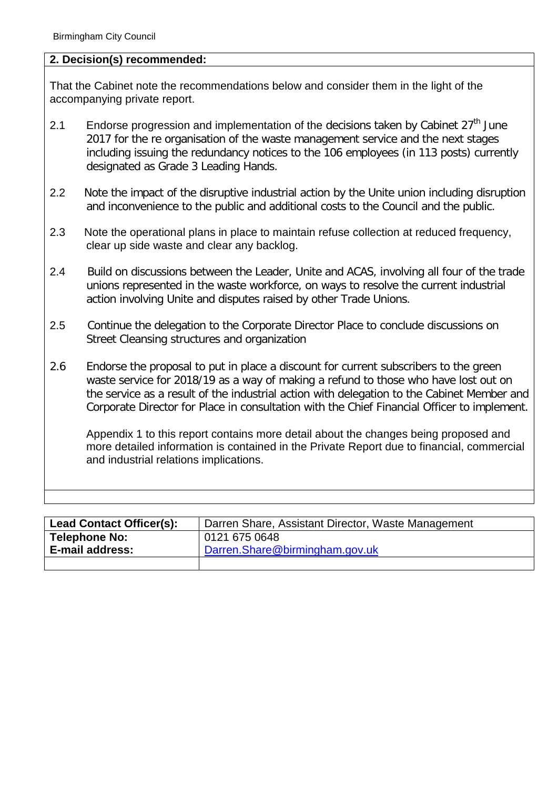#### **2. Decision(s) recommended:**

That the Cabinet note the recommendations below and consider them in the light of the accompanying private report.

- 2.1 Endorse progression and implementation of the decisions taken by Cabinet  $27<sup>th</sup>$  June 2017 for the re organisation of the waste management service and the next stages including issuing the redundancy notices to the 106 employees (in 113 posts) currently designated as Grade 3 Leading Hands.
- 2.2 Note the impact of the disruptive industrial action by the Unite union including disruption and inconvenience to the public and additional costs to the Council and the public.
- 2.3 Note the operational plans in place to maintain refuse collection at reduced frequency, clear up side waste and clear any backlog.
- 2.4 Build on discussions between the Leader, Unite and ACAS, involving all four of the trade unions represented in the waste workforce, on ways to resolve the current industrial action involving Unite and disputes raised by other Trade Unions.
- 2.5 Continue the delegation to the Corporate Director Place to conclude discussions on Street Cleansing structures and organization
- 2.6 Endorse the proposal to put in place a discount for current subscribers to the green waste service for 2018/19 as a way of making a refund to those who have lost out on the service as a result of the industrial action with delegation to the Cabinet Member and Corporate Director for Place in consultation with the Chief Financial Officer to implement.

Appendix 1 to this report contains more detail about the changes being proposed and more detailed information is contained in the Private Report due to financial, commercial and industrial relations implications.

| <b>Lead Contact Officer(s):</b> | Darren Share, Assistant Director, Waste Management |
|---------------------------------|----------------------------------------------------|
| Telephone No:                   | 0121 675 0648                                      |
| <b>E-mail address:</b>          | Darren.Share@birmingham.gov.uk                     |
|                                 |                                                    |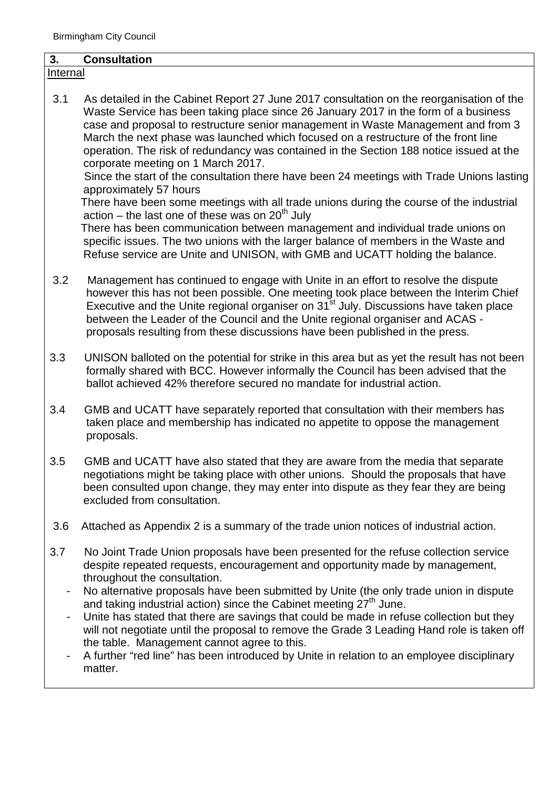# **3. Consultation**

| ıal<br>τerr<br>n |
|------------------|
|                  |

3.1 As detailed in the Cabinet Report 27 June 2017 consultation on the reorganisation of the Waste Service has been taking place since 26 January 2017 in the form of a business case and proposal to restructure senior management in Waste Management and from 3 March the next phase was launched which focused on a restructure of the front line operation. The risk of redundancy was contained in the Section 188 notice issued at the corporate meeting on 1 March 2017.

 Since the start of the consultation there have been 24 meetings with Trade Unions lasting approximately 57 hours

 There have been some meetings with all trade unions during the course of the industrial action – the last one of these was on  $20<sup>th</sup>$  July

 There has been communication between management and individual trade unions on specific issues. The two unions with the larger balance of members in the Waste and Refuse service are Unite and UNISON, with GMB and UCATT holding the balance.

- 3.2 Management has continued to engage with Unite in an effort to resolve the dispute however this has not been possible. One meeting took place between the Interim Chief Executive and the Unite regional organiser on 31<sup>st</sup> July. Discussions have taken place between the Leader of the Council and the Unite regional organiser and ACAS proposals resulting from these discussions have been published in the press.
- 3.3 UNISON balloted on the potential for strike in this area but as yet the result has not been formally shared with BCC. However informally the Council has been advised that the ballot achieved 42% therefore secured no mandate for industrial action.
- 3.4 GMB and UCATT have separately reported that consultation with their members has taken place and membership has indicated no appetite to oppose the management proposals.
- 3.5 GMB and UCATT have also stated that they are aware from the media that separate negotiations might be taking place with other unions. Should the proposals that have been consulted upon change, they may enter into dispute as they fear they are being excluded from consultation.
- 3.6 Attached as Appendix 2 is a summary of the trade union notices of industrial action.
- 3.7 No Joint Trade Union proposals have been presented for the refuse collection service despite repeated requests, encouragement and opportunity made by management, throughout the consultation.
	- No alternative proposals have been submitted by Unite (the only trade union in dispute and taking industrial action) since the Cabinet meeting  $27<sup>th</sup>$  June.
	- Unite has stated that there are savings that could be made in refuse collection but they will not negotiate until the proposal to remove the Grade 3 Leading Hand role is taken off the table. Management cannot agree to this.
	- A further "red line" has been introduced by Unite in relation to an employee disciplinary matter.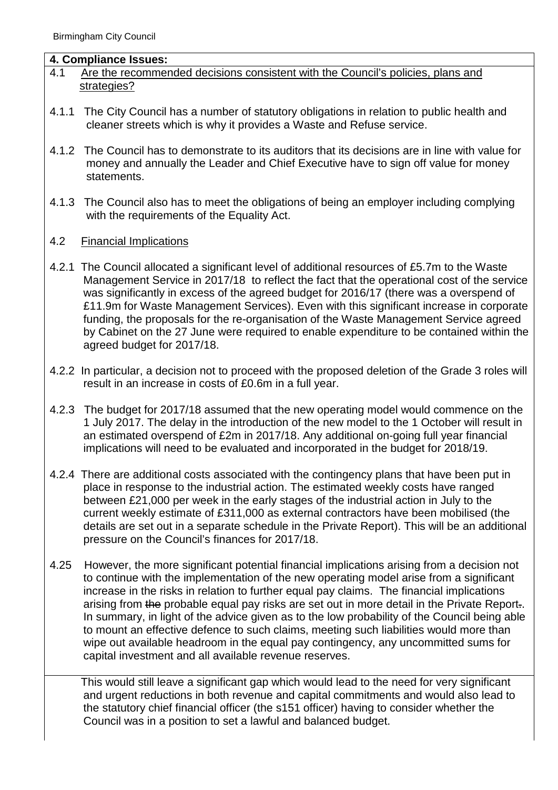#### **4. Compliance Issues:**

- 4.1 Are the recommended decisions consistent with the Council's policies, plans and strategies?
- 4.1.1 The City Council has a number of statutory obligations in relation to public health and cleaner streets which is why it provides a Waste and Refuse service.
- 4.1.2 The Council has to demonstrate to its auditors that its decisions are in line with value for money and annually the Leader and Chief Executive have to sign off value for money statements.
- 4.1.3 The Council also has to meet the obligations of being an employer including complying with the requirements of the Equality Act.

#### 4.2 Financial Implications

- 4.2.1 The Council allocated a significant level of additional resources of £5.7m to the Waste Management Service in 2017/18 to reflect the fact that the operational cost of the service was significantly in excess of the agreed budget for 2016/17 (there was a overspend of £11.9m for Waste Management Services). Even with this significant increase in corporate funding, the proposals for the re-organisation of the Waste Management Service agreed by Cabinet on the 27 June were required to enable expenditure to be contained within the agreed budget for 2017/18.
- 4.2.2 In particular, a decision not to proceed with the proposed deletion of the Grade 3 roles will result in an increase in costs of £0.6m in a full year.
- 4.2.3 The budget for 2017/18 assumed that the new operating model would commence on the 1 July 2017. The delay in the introduction of the new model to the 1 October will result in an estimated overspend of £2m in 2017/18. Any additional on-going full year financial implications will need to be evaluated and incorporated in the budget for 2018/19.
- 4.2.4 There are additional costs associated with the contingency plans that have been put in place in response to the industrial action. The estimated weekly costs have ranged between £21,000 per week in the early stages of the industrial action in July to the current weekly estimate of £311,000 as external contractors have been mobilised (the details are set out in a separate schedule in the Private Report). This will be an additional pressure on the Council's finances for 2017/18.
- 4.25 However, the more significant potential financial implications arising from a decision not to continue with the implementation of the new operating model arise from a significant increase in the risks in relation to further equal pay claims. The financial implications arising from the probable equal pay risks are set out in more detail in the Private Report.. In summary, in light of the advice given as to the low probability of the Council being able to mount an effective defence to such claims, meeting such liabilities would more than wipe out available headroom in the equal pay contingency, any uncommitted sums for capital investment and all available revenue reserves.

 This would still leave a significant gap which would lead to the need for very significant and urgent reductions in both revenue and capital commitments and would also lead to the statutory chief financial officer (the s151 officer) having to consider whether the Council was in a position to set a lawful and balanced budget.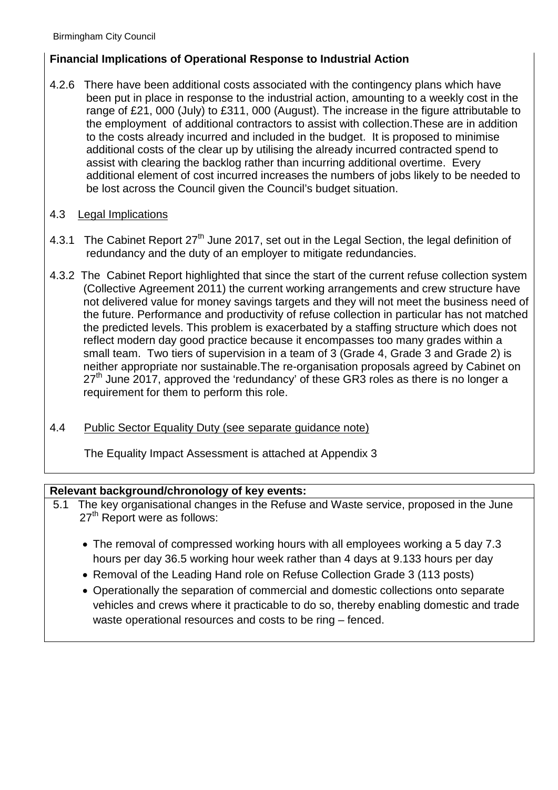## **Financial Implications of Operational Response to Industrial Action**

4.2.6 There have been additional costs associated with the contingency plans which have been put in place in response to the industrial action, amounting to a weekly cost in the range of £21, 000 (July) to £311, 000 (August). The increase in the figure attributable to the employment of additional contractors to assist with collection.These are in addition to the costs already incurred and included in the budget. It is proposed to minimise additional costs of the clear up by utilising the already incurred contracted spend to assist with clearing the backlog rather than incurring additional overtime. Every additional element of cost incurred increases the numbers of jobs likely to be needed to be lost across the Council given the Council's budget situation.

## 4.3 Legal Implications

- 4.3.1 The Cabinet Report 27<sup>th</sup> June 2017, set out in the Legal Section, the legal definition of redundancy and the duty of an employer to mitigate redundancies.
- 4.3.2 The Cabinet Report highlighted that since the start of the current refuse collection system (Collective Agreement 2011) the current working arrangements and crew structure have not delivered value for money savings targets and they will not meet the business need of the future. Performance and productivity of refuse collection in particular has not matched the predicted levels. This problem is exacerbated by a staffing structure which does not reflect modern day good practice because it encompasses too many grades within a small team. Two tiers of supervision in a team of 3 (Grade 4, Grade 3 and Grade 2) is neither appropriate nor sustainable.The re-organisation proposals agreed by Cabinet on  $27<sup>th</sup>$  June 2017, approved the 'redundancy' of these GR3 roles as there is no longer a requirement for them to perform this role.
- 4.4 Public Sector Equality Duty (see separate guidance note)

The Equality Impact Assessment is attached at Appendix 3

## **Relevant background/chronology of key events:**

- 5.1 The key organisational changes in the Refuse and Waste service, proposed in the June 27<sup>th</sup> Report were as follows:
	- The removal of compressed working hours with all employees working a 5 day 7.3 hours per day 36.5 working hour week rather than 4 days at 9.133 hours per day
	- Removal of the Leading Hand role on Refuse Collection Grade 3 (113 posts)
	- Operationally the separation of commercial and domestic collections onto separate vehicles and crews where it practicable to do so, thereby enabling domestic and trade waste operational resources and costs to be ring – fenced.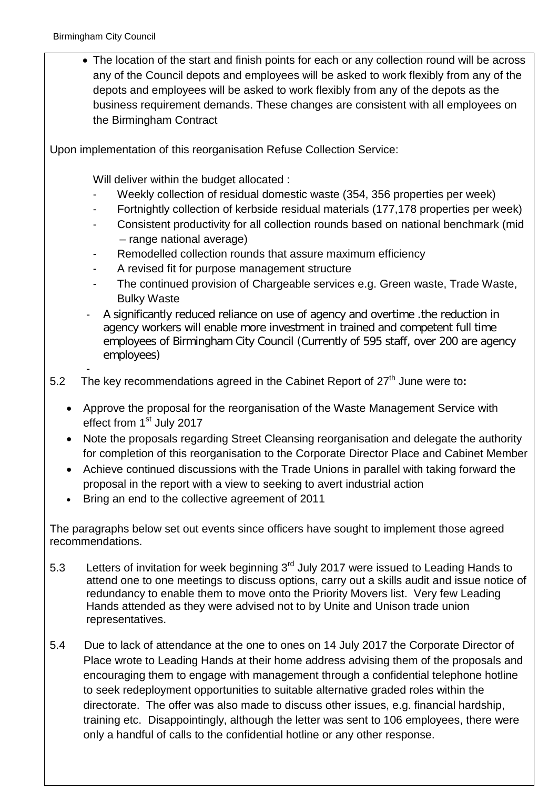• The location of the start and finish points for each or any collection round will be across any of the Council depots and employees will be asked to work flexibly from any of the depots and employees will be asked to work flexibly from any of the depots as the business requirement demands. These changes are consistent with all employees on the Birmingham Contract

Upon implementation of this reorganisation Refuse Collection Service:

Will deliver within the budget allocated :

- Weekly collection of residual domestic waste (354, 356 properties per week)
- Fortnightly collection of kerbside residual materials (177,178 properties per week)
- Consistent productivity for all collection rounds based on national benchmark (mid – range national average)
- Remodelled collection rounds that assure maximum efficiency
- A revised fit for purpose management structure
- The continued provision of Chargeable services e.g. Green waste, Trade Waste, Bulky Waste
- A significantly reduced reliance on use of agency and overtime .the reduction in agency workers will enable more investment in trained and competent full time employees of Birmingham City Council (Currently of 595 staff, over 200 are agency employees)
- 5.2 The key recommendations agreed in the Cabinet Report of 27<sup>th</sup> June were to:
	- Approve the proposal for the reorganisation of the Waste Management Service with effect from 1<sup>st</sup> July 2017
	- Note the proposals regarding Street Cleansing reorganisation and delegate the authority for completion of this reorganisation to the Corporate Director Place and Cabinet Member
	- Achieve continued discussions with the Trade Unions in parallel with taking forward the proposal in the report with a view to seeking to avert industrial action
	- Bring an end to the collective agreement of 2011

The paragraphs below set out events since officers have sought to implement those agreed recommendations.

- 5.3 Letters of invitation for week beginning 3<sup>rd</sup> July 2017 were issued to Leading Hands to attend one to one meetings to discuss options, carry out a skills audit and issue notice of redundancy to enable them to move onto the Priority Movers list. Very few Leading Hands attended as they were advised not to by Unite and Unison trade union representatives.
- 5.4 Due to lack of attendance at the one to ones on 14 July 2017 the Corporate Director of Place wrote to Leading Hands at their home address advising them of the proposals and encouraging them to engage with management through a confidential telephone hotline to seek redeployment opportunities to suitable alternative graded roles within the directorate. The offer was also made to discuss other issues, e.g. financial hardship, training etc. Disappointingly, although the letter was sent to 106 employees, there were only a handful of calls to the confidential hotline or any other response.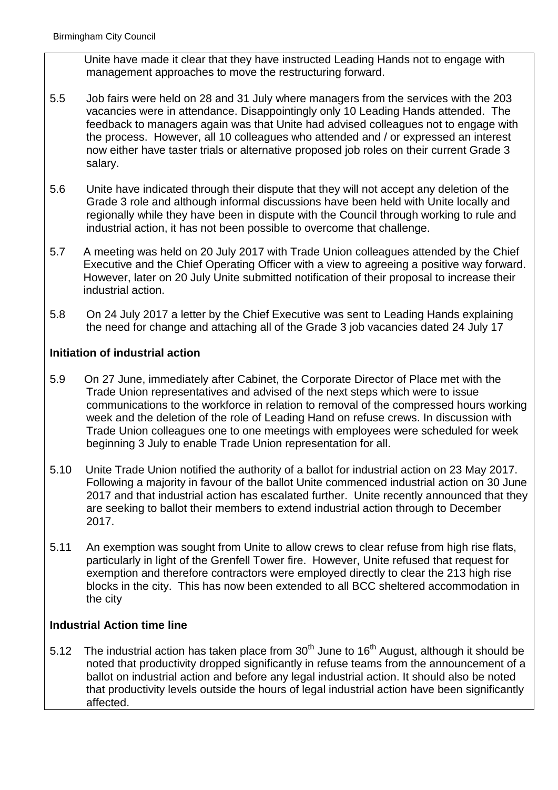Unite have made it clear that they have instructed Leading Hands not to engage with management approaches to move the restructuring forward.

- 5.5 Job fairs were held on 28 and 31 July where managers from the services with the 203 vacancies were in attendance. Disappointingly only 10 Leading Hands attended. The feedback to managers again was that Unite had advised colleagues not to engage with the process. However, all 10 colleagues who attended and / or expressed an interest now either have taster trials or alternative proposed job roles on their current Grade 3 salary.
- 5.6 Unite have indicated through their dispute that they will not accept any deletion of the Grade 3 role and although informal discussions have been held with Unite locally and regionally while they have been in dispute with the Council through working to rule and industrial action, it has not been possible to overcome that challenge.
- 5.7 A meeting was held on 20 July 2017 with Trade Union colleagues attended by the Chief Executive and the Chief Operating Officer with a view to agreeing a positive way forward. However, later on 20 July Unite submitted notification of their proposal to increase their industrial action.
- 5.8 On 24 July 2017 a letter by the Chief Executive was sent to Leading Hands explaining the need for change and attaching all of the Grade 3 job vacancies dated 24 July 17

## **Initiation of industrial action**

- 5.9 On 27 June, immediately after Cabinet, the Corporate Director of Place met with the Trade Union representatives and advised of the next steps which were to issue communications to the workforce in relation to removal of the compressed hours working week and the deletion of the role of Leading Hand on refuse crews. In discussion with Trade Union colleagues one to one meetings with employees were scheduled for week beginning 3 July to enable Trade Union representation for all.
- 5.10 Unite Trade Union notified the authority of a ballot for industrial action on 23 May 2017. Following a majority in favour of the ballot Unite commenced industrial action on 30 June 2017 and that industrial action has escalated further. Unite recently announced that they are seeking to ballot their members to extend industrial action through to December 2017.
- 5.11 An exemption was sought from Unite to allow crews to clear refuse from high rise flats, particularly in light of the Grenfell Tower fire. However, Unite refused that request for exemption and therefore contractors were employed directly to clear the 213 high rise blocks in the city. This has now been extended to all BCC sheltered accommodation in the city

## **Industrial Action time line**

5.12 The industrial action has taken place from  $30<sup>th</sup>$  June to 16<sup>th</sup> August, although it should be noted that productivity dropped significantly in refuse teams from the announcement of a ballot on industrial action and before any legal industrial action. It should also be noted that productivity levels outside the hours of legal industrial action have been significantly affected.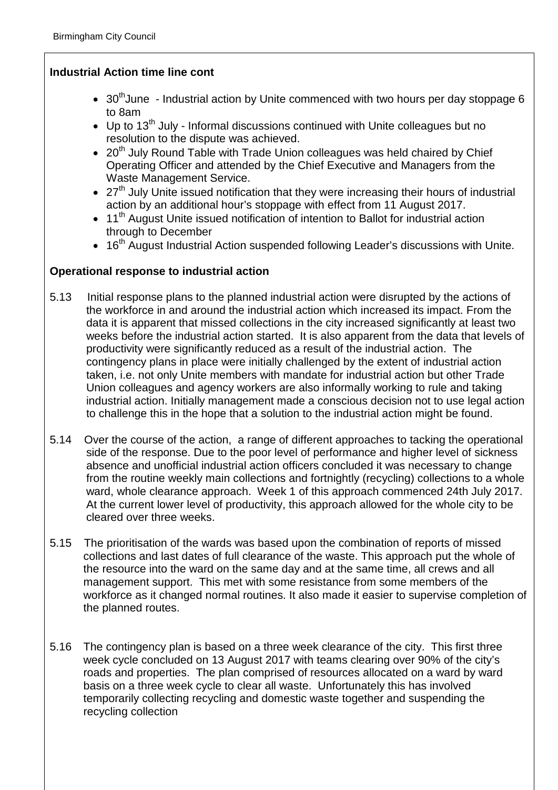## **Industrial Action time line cont**

- 30<sup>th</sup> June Industrial action by Unite commenced with two hours per day stoppage 6 to 8am
- Up to  $13<sup>th</sup>$  July Informal discussions continued with Unite colleagues but no resolution to the dispute was achieved.
- 20<sup>th</sup> July Round Table with Trade Union colleagues was held chaired by Chief Operating Officer and attended by the Chief Executive and Managers from the Waste Management Service.
- 27<sup>th</sup> July Unite issued notification that they were increasing their hours of industrial action by an additional hour's stoppage with effect from 11 August 2017.
- 11<sup>th</sup> August Unite issued notification of intention to Ballot for industrial action through to December
- 16<sup>th</sup> August Industrial Action suspended following Leader's discussions with Unite.

#### **Operational response to industrial action**

- 5.13 Initial response plans to the planned industrial action were disrupted by the actions of the workforce in and around the industrial action which increased its impact. From the data it is apparent that missed collections in the city increased significantly at least two weeks before the industrial action started. It is also apparent from the data that levels of productivity were significantly reduced as a result of the industrial action. The contingency plans in place were initially challenged by the extent of industrial action taken, i.e. not only Unite members with mandate for industrial action but other Trade Union colleagues and agency workers are also informally working to rule and taking industrial action. Initially management made a conscious decision not to use legal action to challenge this in the hope that a solution to the industrial action might be found.
- 5.14 Over the course of the action, a range of different approaches to tacking the operational side of the response. Due to the poor level of performance and higher level of sickness absence and unofficial industrial action officers concluded it was necessary to change from the routine weekly main collections and fortnightly (recycling) collections to a whole ward, whole clearance approach. Week 1 of this approach commenced 24th July 2017. At the current lower level of productivity, this approach allowed for the whole city to be cleared over three weeks.
- 5.15 The prioritisation of the wards was based upon the combination of reports of missed collections and last dates of full clearance of the waste. This approach put the whole of the resource into the ward on the same day and at the same time, all crews and all management support. This met with some resistance from some members of the workforce as it changed normal routines. It also made it easier to supervise completion of the planned routes.
- 5.16 The contingency plan is based on a three week clearance of the city. This first three week cycle concluded on 13 August 2017 with teams clearing over 90% of the city's roads and properties. The plan comprised of resources allocated on a ward by ward basis on a three week cycle to clear all waste. Unfortunately this has involved temporarily collecting recycling and domestic waste together and suspending the recycling collection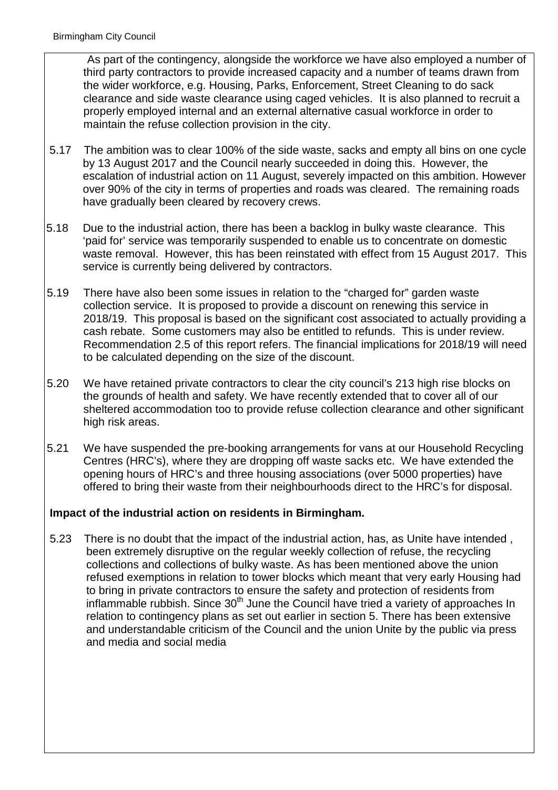As part of the contingency, alongside the workforce we have also employed a number of third party contractors to provide increased capacity and a number of teams drawn from the wider workforce, e.g. Housing, Parks, Enforcement, Street Cleaning to do sack clearance and side waste clearance using caged vehicles. It is also planned to recruit a properly employed internal and an external alternative casual workforce in order to maintain the refuse collection provision in the city.

- 5.17 The ambition was to clear 100% of the side waste, sacks and empty all bins on one cycle by 13 August 2017 and the Council nearly succeeded in doing this. However, the escalation of industrial action on 11 August, severely impacted on this ambition. However over 90% of the city in terms of properties and roads was cleared. The remaining roads have gradually been cleared by recovery crews.
- 5.18 Due to the industrial action, there has been a backlog in bulky waste clearance. This 'paid for' service was temporarily suspended to enable us to concentrate on domestic waste removal. However, this has been reinstated with effect from 15 August 2017. This service is currently being delivered by contractors.
- 5.19 There have also been some issues in relation to the "charged for" garden waste collection service. It is proposed to provide a discount on renewing this service in 2018/19. This proposal is based on the significant cost associated to actually providing a cash rebate. Some customers may also be entitled to refunds. This is under review. Recommendation 2.5 of this report refers. The financial implications for 2018/19 will need to be calculated depending on the size of the discount.
- 5.20 We have retained private contractors to clear the city council's 213 high rise blocks on the grounds of health and safety. We have recently extended that to cover all of our sheltered accommodation too to provide refuse collection clearance and other significant high risk areas.
- 5.21 We have suspended the pre-booking arrangements for vans at our Household Recycling Centres (HRC's), where they are dropping off waste sacks etc. We have extended the opening hours of HRC's and three housing associations (over 5000 properties) have offered to bring their waste from their neighbourhoods direct to the HRC's for disposal.

## **Impact of the industrial action on residents in Birmingham.**

5.23 There is no doubt that the impact of the industrial action, has, as Unite have intended , been extremely disruptive on the regular weekly collection of refuse, the recycling collections and collections of bulky waste. As has been mentioned above the union refused exemptions in relation to tower blocks which meant that very early Housing had to bring in private contractors to ensure the safety and protection of residents from inflammable rubbish. Since  $30<sup>th</sup>$  June the Council have tried a variety of approaches In relation to contingency plans as set out earlier in section 5. There has been extensive and understandable criticism of the Council and the union Unite by the public via press and media and social media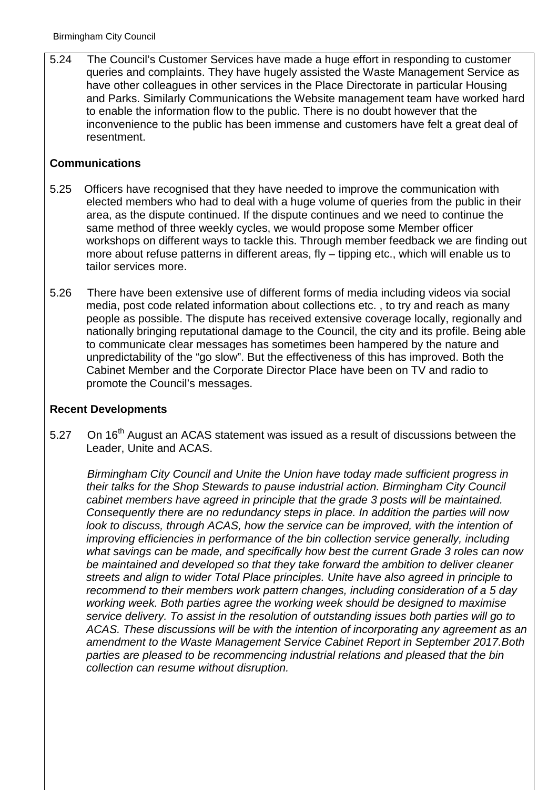5.24 The Council's Customer Services have made a huge effort in responding to customer queries and complaints. They have hugely assisted the Waste Management Service as have other colleagues in other services in the Place Directorate in particular Housing and Parks. Similarly Communications the Website management team have worked hard to enable the information flow to the public. There is no doubt however that the inconvenience to the public has been immense and customers have felt a great deal of resentment.

## **Communications**

- 5.25 Officers have recognised that they have needed to improve the communication with elected members who had to deal with a huge volume of queries from the public in their area, as the dispute continued. If the dispute continues and we need to continue the same method of three weekly cycles, we would propose some Member officer workshops on different ways to tackle this. Through member feedback we are finding out more about refuse patterns in different areas, fly – tipping etc., which will enable us to tailor services more.
- 5.26 There have been extensive use of different forms of media including videos via social media, post code related information about collections etc. , to try and reach as many people as possible. The dispute has received extensive coverage locally, regionally and nationally bringing reputational damage to the Council, the city and its profile. Being able to communicate clear messages has sometimes been hampered by the nature and unpredictability of the "go slow". But the effectiveness of this has improved. Both the Cabinet Member and the Corporate Director Place have been on TV and radio to promote the Council's messages.

## **Recent Developments**

5.27 On 16<sup>th</sup> August an ACAS statement was issued as a result of discussions between the Leader, Unite and ACAS.

 *Birmingham City Council and Unite the Union have today made sufficient progress in their talks for the Shop Stewards to pause industrial action. Birmingham City Council cabinet members have agreed in principle that the grade 3 posts will be maintained. Consequently there are no redundancy steps in place. In addition the parties will now*  look to discuss, through ACAS, how the service can be improved, with the intention of *improving efficiencies in performance of the bin collection service generally, including what savings can be made, and specifically how best the current Grade 3 roles can now be maintained and developed so that they take forward the ambition to deliver cleaner streets and align to wider Total Place principles. Unite have also agreed in principle to recommend to their members work pattern changes, including consideration of a 5 day working week. Both parties agree the working week should be designed to maximise service delivery. To assist in the resolution of outstanding issues both parties will go to ACAS. These discussions will be with the intention of incorporating any agreement as an amendment to the Waste Management Service Cabinet Report in September 2017.Both parties are pleased to be recommencing industrial relations and pleased that the bin collection can resume without disruption.*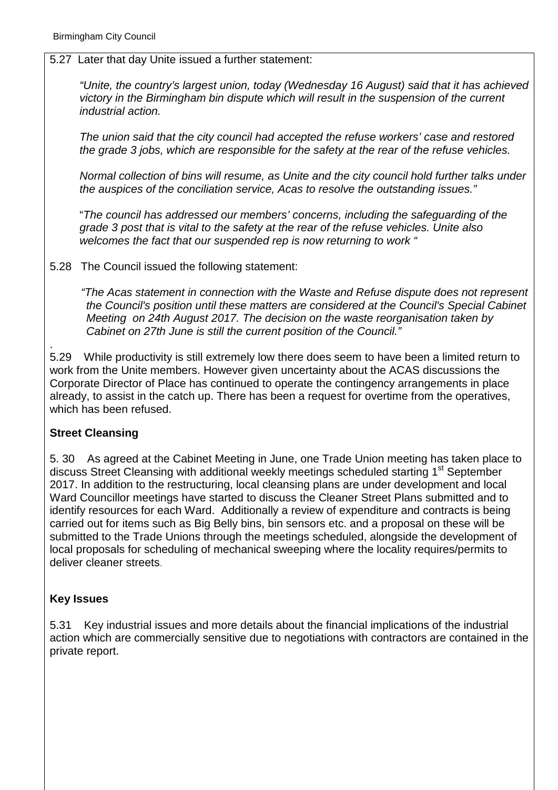#### 5.27 Later that day Unite issued a further statement:

*"Unite, the country's largest union, today (Wednesday 16 August) said that it has achieved victory in the Birmingham bin dispute which will result in the suspension of the current industrial action.*

*The union said that the city council had accepted the refuse workers' case and restored the grade 3 jobs, which are responsible for the safety at the rear of the refuse vehicles.*

*Normal collection of bins will resume, as Unite and the city council hold further talks under the auspices of the conciliation service, Acas to resolve the outstanding issues."*

"*The council has addressed our members' concerns, including the safeguarding of the grade 3 post that is vital to the safety at the rear of the refuse vehicles. Unite also welcomes the fact that our suspended rep is now returning to work "*

5.28 The Council issued the following statement:

 *"The Acas statement in connection with the Waste and Refuse dispute does not represent the Council's position until these matters are considered at the Council's Special Cabinet Meeting on 24th August 2017. The decision on the waste reorganisation taken by Cabinet on 27th June is still the current position of the Council."*

. 5.29 While productivity is still extremely low there does seem to have been a limited return to work from the Unite members. However given uncertainty about the ACAS discussions the Corporate Director of Place has continued to operate the contingency arrangements in place already, to assist in the catch up. There has been a request for overtime from the operatives, which has been refused.

## **Street Cleansing**

5. 30 As agreed at the Cabinet Meeting in June, one Trade Union meeting has taken place to discuss Street Cleansing with additional weekly meetings scheduled starting 1<sup>st</sup> September 2017. In addition to the restructuring, local cleansing plans are under development and local Ward Councillor meetings have started to discuss the Cleaner Street Plans submitted and to identify resources for each Ward. Additionally a review of expenditure and contracts is being carried out for items such as Big Belly bins, bin sensors etc. and a proposal on these will be submitted to the Trade Unions through the meetings scheduled, alongside the development of local proposals for scheduling of mechanical sweeping where the locality requires/permits to deliver cleaner streets.

## **Key Issues**

5.31 Key industrial issues and more details about the financial implications of the industrial action which are commercially sensitive due to negotiations with contractors are contained in the private report.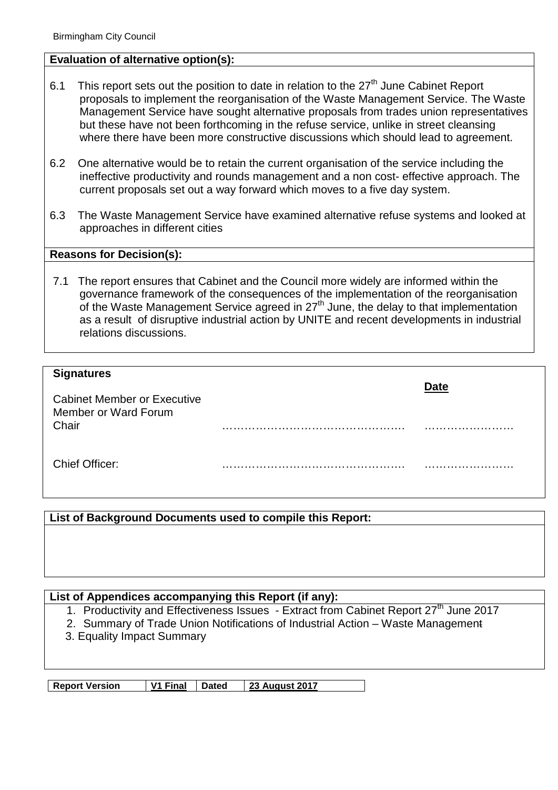#### **Evaluation of alternative option(s):**

- 6.1 This report sets out the position to date in relation to the  $27<sup>th</sup>$  June Cabinet Report proposals to implement the reorganisation of the Waste Management Service. The Waste Management Service have sought alternative proposals from trades union representatives but these have not been forthcoming in the refuse service, unlike in street cleansing where there have been more constructive discussions which should lead to agreement.
- 6.2 One alternative would be to retain the current organisation of the service including the ineffective productivity and rounds management and a non cost- effective approach. The current proposals set out a way forward which moves to a five day system.
- 6.3 The Waste Management Service have examined alternative refuse systems and looked at approaches in different cities

#### **Reasons for Decision(s):**

7.1 The report ensures that Cabinet and the Council more widely are informed within the governance framework of the consequences of the implementation of the reorganisation of the Waste Management Service agreed in  $27<sup>th</sup>$  June, the delay to that implementation as a result of disruptive industrial action by UNITE and recent developments in industrial relations discussions.

| <b>Signatures</b>                                                   |       | <b>Date</b> |
|---------------------------------------------------------------------|-------|-------------|
| <b>Cabinet Member or Executive</b><br>Member or Ward Forum<br>Chair |       |             |
|                                                                     |       |             |
| <b>Chief Officer:</b>                                               | <br>. |             |

#### **List of Background Documents used to compile this Report:**

#### **List of Appendices accompanying this Report (if any):**

- 1. Productivity and Effectiveness Issues Extract from Cabinet Report 27<sup>th</sup> June 2017
- 2. Summary of Trade Union Notifications of Industrial Action Waste Management
- 3. Equality Impact Summary

| <b>Report Version</b> | V1 Final Dated | 23 August 2017 |
|-----------------------|----------------|----------------|